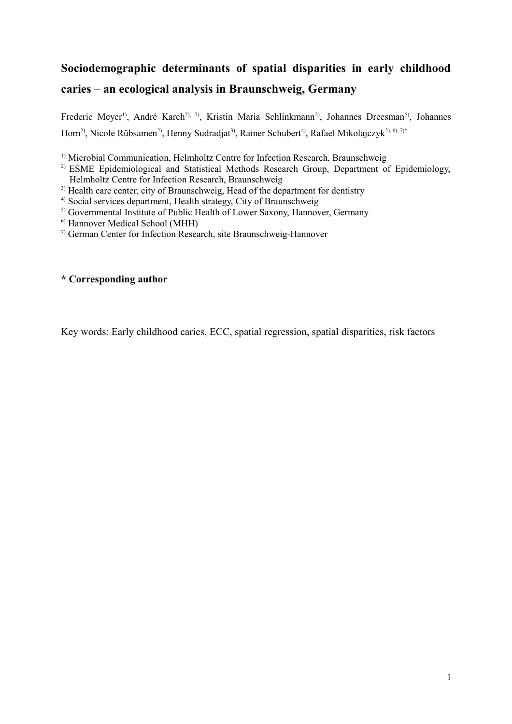# **Sociodemographic determinants of spatial disparities in early childhood caries – an ecological analysis in Braunschweig, Germany**

Frederic Meyer<sup>1)</sup>, André Karch<sup>2), 7</sup>), Kristin Maria Schlinkmann<sup>2</sup>), Johannes Dreesman<sup>5)</sup>, Johannes Horn<sup>2)</sup>, Nicole Rübsamen<sup>2)</sup>, Henny Sudradjat<sup>3)</sup>, Rainer Schubert<sup>4)</sup>, Rafael Mikolaiczyk<sup>2), 6), 7<sup>\*</sup></sup>

<sup>1)</sup> Microbial Communication, Helmholtz Centre for Infection Research, Braunschweig

<sup>2)</sup> ESME Epidemiological and Statistical Methods Research Group, Department of Epidemiology, Helmholtz Centre for Infection Research, Braunschweig

<sup>3)</sup> Health care center, city of Braunschweig. Head of the department for dentistry

4) Social services department, Health strategy, City of Braunschweig

<sup>5)</sup> Governmental Institute of Public Health of Lower Saxony, Hannover, Germany

6) Hannover Medical School (MHH)

7) German Center for Infection Research, site Braunschweig-Hannover

## **\* Corresponding author**

Key words: Early childhood caries, ECC, spatial regression, spatial disparities, risk factors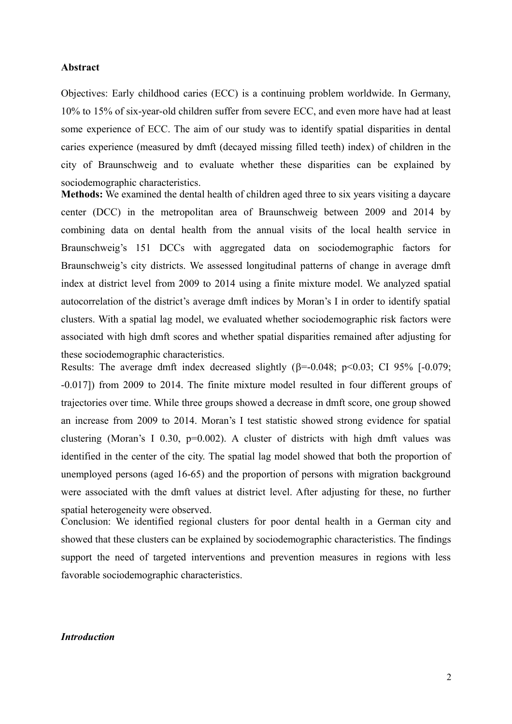#### **Abstract**

Objectives: Early childhood caries (ECC) is a continuing problem worldwide. In Germany, 10% to 15% of six-year-old children suffer from severe ECC, and even more have had at least some experience of ECC. The aim of our study was to identify spatial disparities in dental caries experience (measured by dmft (decayed missing filled teeth) index) of children in the city of Braunschweig and to evaluate whether these disparities can be explained by sociodemographic characteristics.

**Methods:** We examined the dental health of children aged three to six years visiting a daycare center (DCC) in the metropolitan area of Braunschweig between 2009 and 2014 by combining data on dental health from the annual visits of the local health service in Braunschweig's 151 DCCs with aggregated data on sociodemographic factors for Braunschweig's city districts. We assessed longitudinal patterns of change in average dmft index at district level from 2009 to 2014 using a finite mixture model. We analyzed spatial autocorrelation of the district's average dmft indices by Moran's I in order to identify spatial clusters. With a spatial lag model, we evaluated whether sociodemographic risk factors were associated with high dmft scores and whether spatial disparities remained after adjusting for these sociodemographic characteristics.

Results: The average dmft index decreased slightly  $(\beta = 0.048; \ p \le 0.03; \text{ CI } 95\%$  [-0.079; -0.017]) from 2009 to 2014. The finite mixture model resulted in four different groups of trajectories over time. While three groups showed a decrease in dmft score, one group showed an increase from 2009 to 2014. Moran's I test statistic showed strong evidence for spatial clustering (Moran's I 0.30,  $p=0.002$ ). A cluster of districts with high dmft values was identified in the center of the city. The spatial lag model showed that both the proportion of unemployed persons (aged 16-65) and the proportion of persons with migration background were associated with the dmft values at district level. After adjusting for these, no further spatial heterogeneity were observed.

Conclusion: We identified regional clusters for poor dental health in a German city and showed that these clusters can be explained by sociodemographic characteristics. The findings support the need of targeted interventions and prevention measures in regions with less favorable sociodemographic characteristics.

#### *Introduction*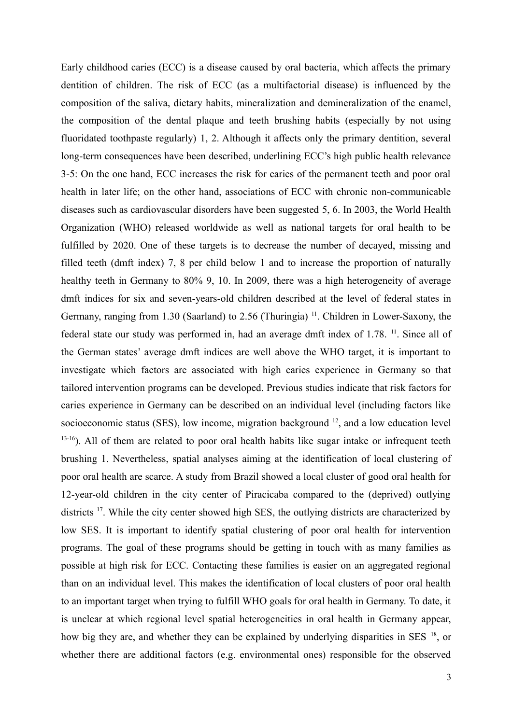Early childhood caries (ECC) is a disease caused by oral bacteria, which affects the primary dentition of children. The risk of ECC (as a multifactorial disease) is influenced by the composition of the saliva, dietary habits, mineralization and demineralization of the enamel, the composition of the dental plaque and teeth brushing habits (especially by not using fluoridated toothpaste regularly) 1, 2. Although it affects only the primary dentition, several long-term consequences have been described, underlining ECC's high public health relevance 3-5: On the one hand, ECC increases the risk for caries of the permanent teeth and poor oral health in later life; on the other hand, associations of ECC with chronic non-communicable diseases such as cardiovascular disorders have been suggested 5, 6. In 2003, the World Health Organization (WHO) released worldwide as well as national targets for oral health to be fulfilled by 2020. One of these targets is to decrease the number of decayed, missing and filled teeth (dmft index) 7, 8 per child below 1 and to increase the proportion of naturally healthy teeth in Germany to 80% 9, 10. In 2009, there was a high heterogeneity of average dmft indices for six and seven-years-old children described at the level of federal states in Germany, ranging from 1.30 (Saarland) to 2.56 (Thuringia) <sup>11</sup>. Children in Lower-Saxony, the federal state our study was performed in, had an average dmft index of 1.78. <sup>11</sup>. Since all of the German states' average dmft indices are well above the WHO target, it is important to investigate which factors are associated with high caries experience in Germany so that tailored intervention programs can be developed. Previous studies indicate that risk factors for caries experience in Germany can be described on an individual level (including factors like socioeconomic status (SES), low income, migration background  $^{12}$ , and a low education level <sup>13-16</sup>). All of them are related to poor oral health habits like sugar intake or infrequent teeth brushing 1. Nevertheless, spatial analyses aiming at the identification of local clustering of poor oral health are scarce. A study from Brazil showed a local cluster of good oral health for 12-year-old children in the city center of Piracicaba compared to the (deprived) outlying districts <sup>17</sup>. While the city center showed high SES, the outlying districts are characterized by low SES. It is important to identify spatial clustering of poor oral health for intervention programs. The goal of these programs should be getting in touch with as many families as possible at high risk for ECC. Contacting these families is easier on an aggregated regional than on an individual level. This makes the identification of local clusters of poor oral health to an important target when trying to fulfill WHO goals for oral health in Germany. To date, it is unclear at which regional level spatial heterogeneities in oral health in Germany appear, how big they are, and whether they can be explained by underlying disparities in SES<sup>18</sup>, or whether there are additional factors (e.g. environmental ones) responsible for the observed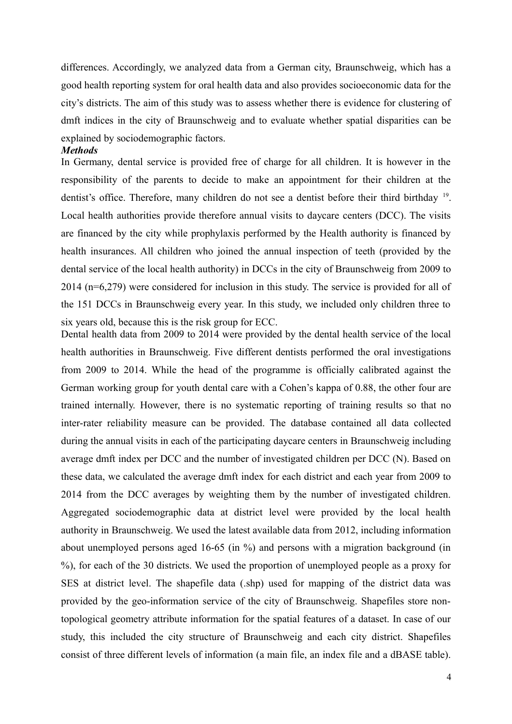differences. Accordingly, we analyzed data from a German city, Braunschweig, which has a good health reporting system for oral health data and also provides socioeconomic data for the city's districts. The aim of this study was to assess whether there is evidence for clustering of dmft indices in the city of Braunschweig and to evaluate whether spatial disparities can be explained by sociodemographic factors.

#### *Methods*

In Germany, dental service is provided free of charge for all children. It is however in the responsibility of the parents to decide to make an appointment for their children at the dentist's office. Therefore, many children do not see a dentist before their third birthday <sup>19</sup>. Local health authorities provide therefore annual visits to daycare centers (DCC). The visits are financed by the city while prophylaxis performed by the Health authority is financed by health insurances. All children who joined the annual inspection of teeth (provided by the dental service of the local health authority) in DCCs in the city of Braunschweig from 2009 to 2014 (n=6,279) were considered for inclusion in this study. The service is provided for all of the 151 DCCs in Braunschweig every year. In this study, we included only children three to six years old, because this is the risk group for ECC.

Dental health data from 2009 to 2014 were provided by the dental health service of the local health authorities in Braunschweig. Five different dentists performed the oral investigations from 2009 to 2014. While the head of the programme is officially calibrated against the German working group for youth dental care with a Cohen's kappa of 0.88, the other four are trained internally. However, there is no systematic reporting of training results so that no inter-rater reliability measure can be provided. The database contained all data collected during the annual visits in each of the participating daycare centers in Braunschweig including average dmft index per DCC and the number of investigated children per DCC (N). Based on these data, we calculated the average dmft index for each district and each year from 2009 to 2014 from the DCC averages by weighting them by the number of investigated children. Aggregated sociodemographic data at district level were provided by the local health authority in Braunschweig. We used the latest available data from 2012, including information about unemployed persons aged 16-65 (in %) and persons with a migration background (in %), for each of the 30 districts. We used the proportion of unemployed people as a proxy for SES at district level. The shapefile data (.shp) used for mapping of the district data was provided by the geo-information service of the city of Braunschweig. Shapefiles store nontopological geometry attribute information for the spatial features of a dataset. In case of our study, this included the city structure of Braunschweig and each city district. Shapefiles consist of three different levels of information (a main file, an index file and a dBASE table).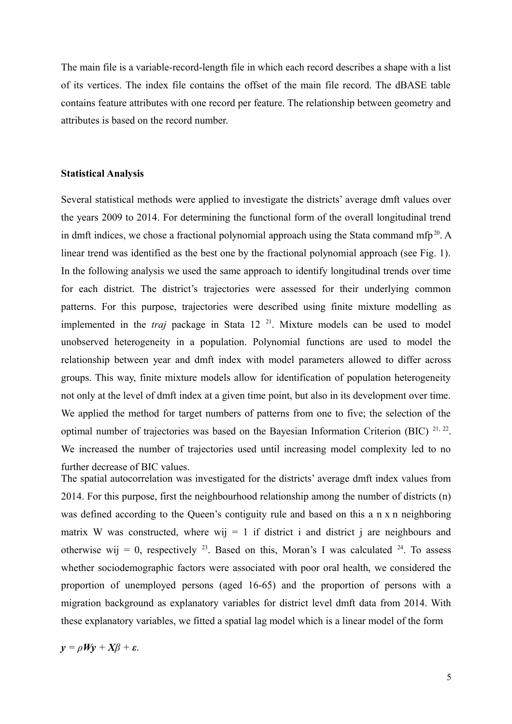The main file is a variable-record-length file in which each record describes a shape with a list of its vertices. The index file contains the offset of the main file record. The dBASE table contains feature attributes with one record per feature. The relationship between geometry and attributes is based on the record number.

#### **Statistical Analysis**

Several statistical methods were applied to investigate the districts' average dmft values over the years 2009 to 2014. For determining the functional form of the overall longitudinal trend in dmft indices, we chose a fractional polynomial approach using the Stata command mfp<sup>20</sup>. A linear trend was identified as the best one by the fractional polynomial approach (see Fig. 1). In the following analysis we used the same approach to identify longitudinal trends over time for each district. The district's trajectories were assessed for their underlying common patterns. For this purpose, trajectories were described using finite mixture modelling as implemented in the *traj* package in Stata 12 <sup>21</sup>. Mixture models can be used to model unobserved heterogeneity in a population. Polynomial functions are used to model the relationship between year and dmft index with model parameters allowed to differ across groups. This way, finite mixture models allow for identification of population heterogeneity not only at the level of dmft index at a given time point, but also in its development over time. We applied the method for target numbers of patterns from one to five; the selection of the optimal number of trajectories was based on the Bayesian Information Criterion (BIC)  $^{21, 22}$ . We increased the number of trajectories used until increasing model complexity led to no further decrease of BIC values.

The spatial autocorrelation was investigated for the districts' average dmft index values from 2014. For this purpose, first the neighbourhood relationship among the number of districts (n) was defined according to the Queen's contiguity rule and based on this a n x n neighboring matrix W was constructed, where wij  $= 1$  if district i and district j are neighbours and otherwise wij = 0, respectively <sup>23</sup>. Based on this, Moran's I was calculated <sup>24</sup>. To assess whether sociodemographic factors were associated with poor oral health, we considered the proportion of unemployed persons (aged 16-65) and the proportion of persons with a migration background as explanatory variables for district level dmft data from 2014. With these explanatory variables, we fitted a spatial lag model which is a linear model of the form

$$
y = \rho W y + X \beta + \varepsilon.
$$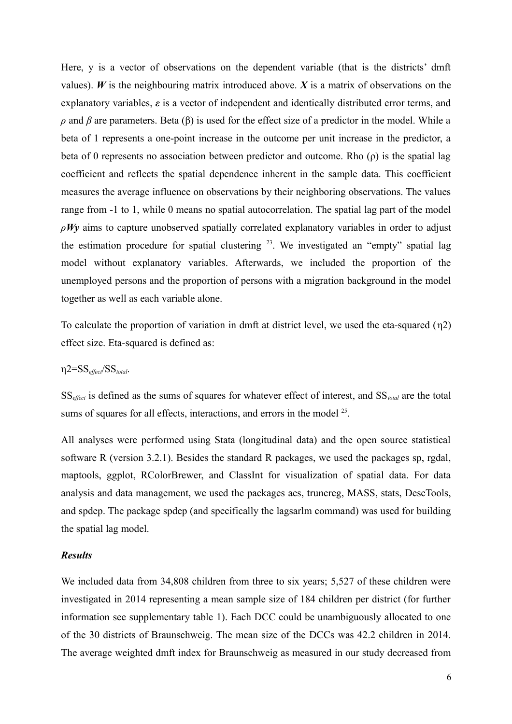Here, y is a vector of observations on the dependent variable (that is the districts' dmft values).  $W$  is the neighbouring matrix introduced above.  $X$  is a matrix of observations on the explanatory variables, *ε* is a vector of independent and identically distributed error terms, and  $ρ$  and *β* are parameters. Beta (β) is used for the effect size of a predictor in the model. While a beta of 1 represents a one-point increase in the outcome per unit increase in the predictor, a beta of 0 represents no association between predictor and outcome. Rho (ρ) is the spatial lag coefficient and reflects the spatial dependence inherent in the sample data. This coefficient measures the average influence on observations by their neighboring observations. The values range from -1 to 1, while 0 means no spatial autocorrelation. The spatial lag part of the model *ρWy* aims to capture unobserved spatially correlated explanatory variables in order to adjust the estimation procedure for spatial clustering  $23$ . We investigated an "empty" spatial lag model without explanatory variables. Afterwards, we included the proportion of the unemployed persons and the proportion of persons with a migration background in the model together as well as each variable alone.

To calculate the proportion of variation in dmft at district level, we used the eta-squared (η2) effect size. Eta-squared is defined as:

η2=SS*effect*/SS*total*.

SS*effect* is defined as the sums of squares for whatever effect of interest, and SS*total* are the total sums of squares for all effects, interactions, and errors in the model  $25$ .

All analyses were performed using Stata (longitudinal data) and the open source statistical software R (version 3.2.1). Besides the standard R packages, we used the packages sp, rgdal, maptools, ggplot, RColorBrewer, and ClassInt for visualization of spatial data. For data analysis and data management, we used the packages acs, truncreg, MASS, stats, DescTools, and spdep. The package spdep (and specifically the lagsarlm command) was used for building the spatial lag model.

#### *Results*

We included data from 34,808 children from three to six years; 5,527 of these children were investigated in 2014 representing a mean sample size of 184 children per district (for further information see supplementary table 1). Each DCC could be unambiguously allocated to one of the 30 districts of Braunschweig. The mean size of the DCCs was 42.2 children in 2014. The average weighted dmft index for Braunschweig as measured in our study decreased from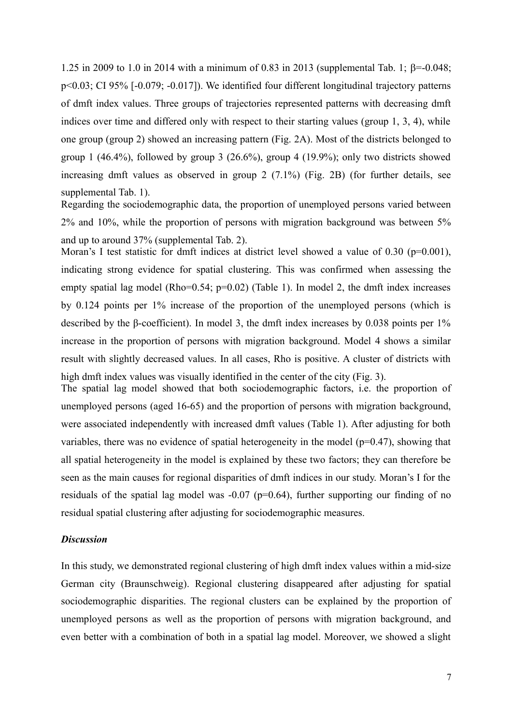1.25 in 2009 to 1.0 in 2014 with a minimum of 0.83 in 2013 (supplemental Tab. 1;  $\beta$ =-0.048; p<0.03; CI 95% [-0.079; -0.017]). We identified four different longitudinal trajectory patterns of dmft index values. Three groups of trajectories represented patterns with decreasing dmft indices over time and differed only with respect to their starting values (group 1, 3, 4), while one group (group 2) showed an increasing pattern (Fig. 2A). Most of the districts belonged to group 1 (46.4%), followed by group 3 (26.6%), group 4 (19.9%); only two districts showed increasing dmft values as observed in group 2 (7.1%) (Fig. 2B) (for further details, see supplemental Tab. 1).

Regarding the sociodemographic data, the proportion of unemployed persons varied between 2% and 10%, while the proportion of persons with migration background was between 5% and up to around 37% (supplemental Tab. 2).

Moran's I test statistic for dmft indices at district level showed a value of 0.30 (p=0.001), indicating strong evidence for spatial clustering. This was confirmed when assessing the empty spatial lag model (Rho=0.54; p=0.02) (Table 1). In model 2, the dmft index increases by 0.124 points per 1% increase of the proportion of the unemployed persons (which is described by the β-coefficient). In model 3, the dmft index increases by 0.038 points per 1% increase in the proportion of persons with migration background. Model 4 shows a similar result with slightly decreased values. In all cases, Rho is positive. A cluster of districts with high dmft index values was visually identified in the center of the city (Fig. 3).

The spatial lag model showed that both sociodemographic factors, i.e. the proportion of unemployed persons (aged 16-65) and the proportion of persons with migration background, were associated independently with increased dmft values (Table 1). After adjusting for both variables, there was no evidence of spatial heterogeneity in the model ( $p=0.47$ ), showing that all spatial heterogeneity in the model is explained by these two factors; they can therefore be seen as the main causes for regional disparities of dmft indices in our study. Moran's I for the residuals of the spatial lag model was  $-0.07$  (p=0.64), further supporting our finding of no residual spatial clustering after adjusting for sociodemographic measures.

#### *Discussion*

In this study, we demonstrated regional clustering of high dmft index values within a mid-size German city (Braunschweig). Regional clustering disappeared after adjusting for spatial sociodemographic disparities. The regional clusters can be explained by the proportion of unemployed persons as well as the proportion of persons with migration background, and even better with a combination of both in a spatial lag model. Moreover, we showed a slight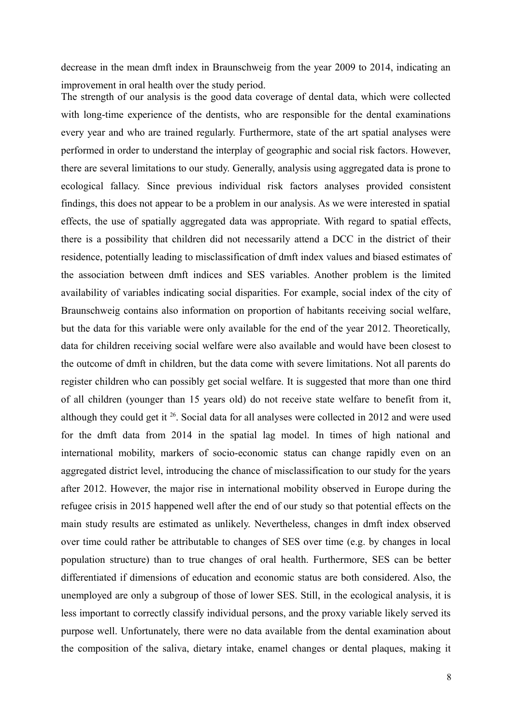decrease in the mean dmft index in Braunschweig from the year 2009 to 2014, indicating an improvement in oral health over the study period.

The strength of our analysis is the good data coverage of dental data, which were collected with long-time experience of the dentists, who are responsible for the dental examinations every year and who are trained regularly. Furthermore, state of the art spatial analyses were performed in order to understand the interplay of geographic and social risk factors. However, there are several limitations to our study. Generally, analysis using aggregated data is prone to ecological fallacy. Since previous individual risk factors analyses provided consistent findings, this does not appear to be a problem in our analysis. As we were interested in spatial effects, the use of spatially aggregated data was appropriate. With regard to spatial effects, there is a possibility that children did not necessarily attend a DCC in the district of their residence, potentially leading to misclassification of dmft index values and biased estimates of the association between dmft indices and SES variables. Another problem is the limited availability of variables indicating social disparities. For example, social index of the city of Braunschweig contains also information on proportion of habitants receiving social welfare, but the data for this variable were only available for the end of the year 2012. Theoretically, data for children receiving social welfare were also available and would have been closest to the outcome of dmft in children, but the data come with severe limitations. Not all parents do register children who can possibly get social welfare. It is suggested that more than one third of all children (younger than 15 years old) do not receive state welfare to benefit from it, although they could get it <sup>26</sup>. Social data for all analyses were collected in 2012 and were used for the dmft data from 2014 in the spatial lag model. In times of high national and international mobility, markers of socio-economic status can change rapidly even on an aggregated district level, introducing the chance of misclassification to our study for the years after 2012. However, the major rise in international mobility observed in Europe during the refugee crisis in 2015 happened well after the end of our study so that potential effects on the main study results are estimated as unlikely. Nevertheless, changes in dmft index observed over time could rather be attributable to changes of SES over time (e.g. by changes in local population structure) than to true changes of oral health. Furthermore, SES can be better differentiated if dimensions of education and economic status are both considered. Also, the unemployed are only a subgroup of those of lower SES. Still, in the ecological analysis, it is less important to correctly classify individual persons, and the proxy variable likely served its purpose well. Unfortunately, there were no data available from the dental examination about the composition of the saliva, dietary intake, enamel changes or dental plaques, making it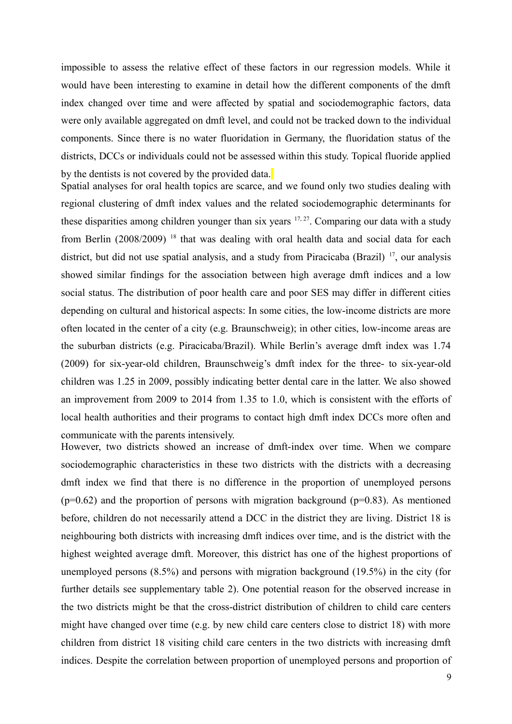impossible to assess the relative effect of these factors in our regression models. While it would have been interesting to examine in detail how the different components of the dmft index changed over time and were affected by spatial and sociodemographic factors, data were only available aggregated on dmft level, and could not be tracked down to the individual components. Since there is no water fluoridation in Germany, the fluoridation status of the districts, DCCs or individuals could not be assessed within this study. Topical fluoride applied by the dentists is not covered by the provided data.

Spatial analyses for oral health topics are scarce, and we found only two studies dealing with regional clustering of dmft index values and the related sociodemographic determinants for these disparities among children younger than six years  $17, 27$ . Comparing our data with a study from Berlin (2008/2009)<sup>18</sup> that was dealing with oral health data and social data for each district, but did not use spatial analysis, and a study from Piracicaba (Brazil) <sup>17</sup>, our analysis showed similar findings for the association between high average dmft indices and a low social status. The distribution of poor health care and poor SES may differ in different cities depending on cultural and historical aspects: In some cities, the low-income districts are more often located in the center of a city (e.g. Braunschweig); in other cities, low-income areas are the suburban districts (e.g. Piracicaba/Brazil). While Berlin's average dmft index was 1.74 (2009) for six-year-old children, Braunschweig's dmft index for the three- to six-year-old children was 1.25 in 2009, possibly indicating better dental care in the latter. We also showed an improvement from 2009 to 2014 from 1.35 to 1.0, which is consistent with the efforts of local health authorities and their programs to contact high dmft index DCCs more often and communicate with the parents intensively.

However, two districts showed an increase of dmft-index over time. When we compare sociodemographic characteristics in these two districts with the districts with a decreasing dmft index we find that there is no difference in the proportion of unemployed persons  $(p=0.62)$  and the proportion of persons with migration background  $(p=0.83)$ . As mentioned before, children do not necessarily attend a DCC in the district they are living. District 18 is neighbouring both districts with increasing dmft indices over time, and is the district with the highest weighted average dmft. Moreover, this district has one of the highest proportions of unemployed persons (8.5%) and persons with migration background (19.5%) in the city (for further details see supplementary table 2). One potential reason for the observed increase in the two districts might be that the cross-district distribution of children to child care centers might have changed over time (e.g. by new child care centers close to district 18) with more children from district 18 visiting child care centers in the two districts with increasing dmft indices. Despite the correlation between proportion of unemployed persons and proportion of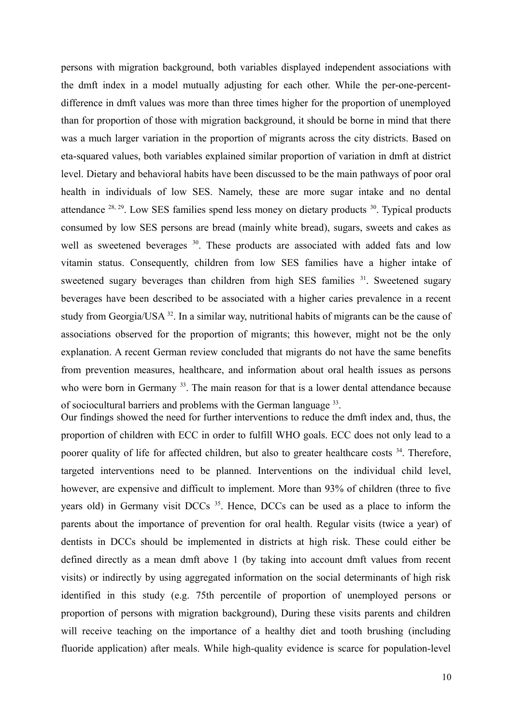persons with migration background, both variables displayed independent associations with the dmft index in a model mutually adjusting for each other. While the per-one-percentdifference in dmft values was more than three times higher for the proportion of unemployed than for proportion of those with migration background, it should be borne in mind that there was a much larger variation in the proportion of migrants across the city districts. Based on eta-squared values, both variables explained similar proportion of variation in dmft at district level. Dietary and behavioral habits have been discussed to be the main pathways of poor oral health in individuals of low SES. Namely, these are more sugar intake and no dental attendance  $^{28, 29}$ . Low SES families spend less money on dietary products  $^{30}$ . Typical products consumed by low SES persons are bread (mainly white bread), sugars, sweets and cakes as well as sweetened beverages <sup>30</sup>. These products are associated with added fats and low vitamin status. Consequently, children from low SES families have a higher intake of sweetened sugary beverages than children from high SES families <sup>31</sup>. Sweetened sugary beverages have been described to be associated with a higher caries prevalence in a recent study from Georgia/USA <sup>32</sup>. In a similar way, nutritional habits of migrants can be the cause of associations observed for the proportion of migrants; this however, might not be the only explanation. A recent German review concluded that migrants do not have the same benefits from prevention measures, healthcare, and information about oral health issues as persons who were born in Germany<sup>33</sup>. The main reason for that is a lower dental attendance because of sociocultural barriers and problems with the German language <sup>33</sup>.

Our findings showed the need for further interventions to reduce the dmft index and, thus, the proportion of children with ECC in order to fulfill WHO goals. ECC does not only lead to a poorer quality of life for affected children, but also to greater healthcare costs <sup>34</sup>. Therefore, targeted interventions need to be planned. Interventions on the individual child level, however, are expensive and difficult to implement. More than 93% of children (three to five years old) in Germany visit DCCs<sup>35</sup>. Hence, DCCs can be used as a place to inform the parents about the importance of prevention for oral health. Regular visits (twice a year) of dentists in DCCs should be implemented in districts at high risk. These could either be defined directly as a mean dmft above 1 (by taking into account dmft values from recent visits) or indirectly by using aggregated information on the social determinants of high risk identified in this study (e.g. 75th percentile of proportion of unemployed persons or proportion of persons with migration background), During these visits parents and children will receive teaching on the importance of a healthy diet and tooth brushing (including fluoride application) after meals. While high-quality evidence is scarce for population-level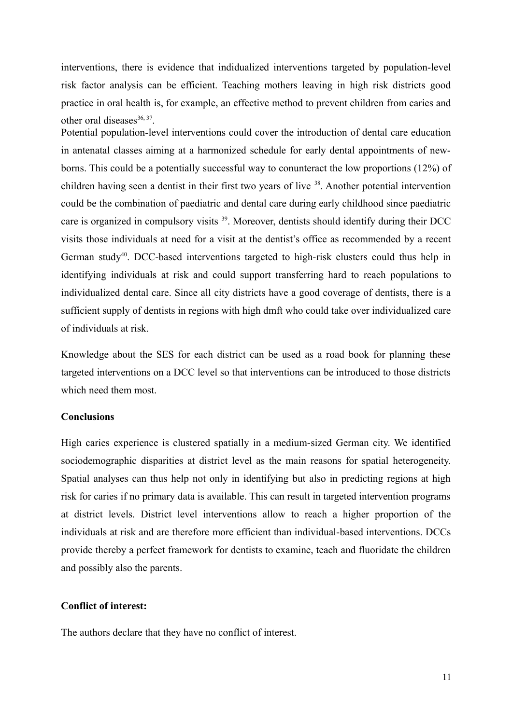interventions, there is evidence that indidualized interventions targeted by population-level risk factor analysis can be efficient. Teaching mothers leaving in high risk districts good practice in oral health is, for example, an effective method to prevent children from caries and other oral diseases $36, 37$ .

Potential population-level interventions could cover the introduction of dental care education in antenatal classes aiming at a harmonized schedule for early dental appointments of newborns. This could be a potentially successful way to conunteract the low proportions (12%) of children having seen a dentist in their first two years of live <sup>38</sup>. Another potential intervention could be the combination of paediatric and dental care during early childhood since paediatric care is organized in compulsory visits <sup>39</sup>. Moreover, dentists should identify during their DCC visits those individuals at need for a visit at the dentist's office as recommended by a recent German study<sup>40</sup>. DCC-based interventions targeted to high-risk clusters could thus help in identifying individuals at risk and could support transferring hard to reach populations to individualized dental care. Since all city districts have a good coverage of dentists, there is a sufficient supply of dentists in regions with high dmft who could take over individualized care of individuals at risk.

Knowledge about the SES for each district can be used as a road book for planning these targeted interventions on a DCC level so that interventions can be introduced to those districts which need them most.

#### **Conclusions**

High caries experience is clustered spatially in a medium-sized German city. We identified sociodemographic disparities at district level as the main reasons for spatial heterogeneity. Spatial analyses can thus help not only in identifying but also in predicting regions at high risk for caries if no primary data is available. This can result in targeted intervention programs at district levels. District level interventions allow to reach a higher proportion of the individuals at risk and are therefore more efficient than individual-based interventions. DCCs provide thereby a perfect framework for dentists to examine, teach and fluoridate the children and possibly also the parents.

#### **Conflict of interest:**

The authors declare that they have no conflict of interest.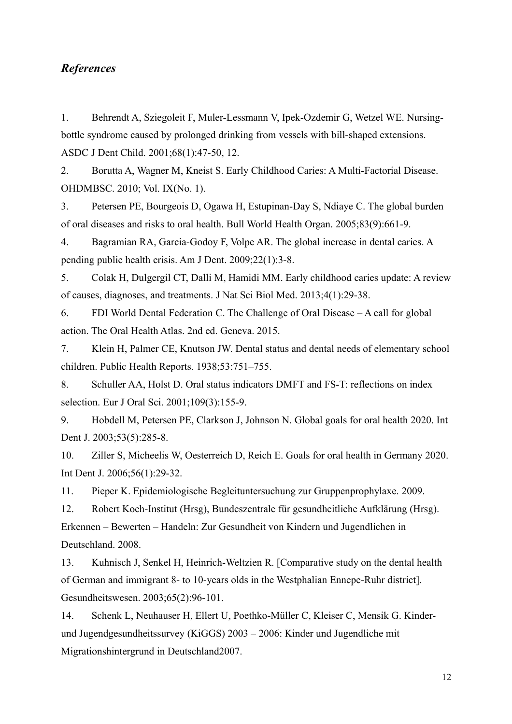## *References*

1. Behrendt A, Sziegoleit F, Muler-Lessmann V, Ipek-Ozdemir G, Wetzel WE. Nursingbottle syndrome caused by prolonged drinking from vessels with bill-shaped extensions. ASDC J Dent Child. 2001;68(1):47-50, 12.

2. Borutta A, Wagner M, Kneist S. Early Childhood Caries: A Multi-Factorial Disease. OHDMBSC. 2010; Vol. IX(No. 1).

3. Petersen PE, Bourgeois D, Ogawa H, Estupinan-Day S, Ndiaye C. The global burden of oral diseases and risks to oral health. Bull World Health Organ. 2005;83(9):661-9.

4. Bagramian RA, Garcia-Godoy F, Volpe AR. The global increase in dental caries. A pending public health crisis. Am J Dent. 2009;22(1):3-8.

5. Colak H, Dulgergil CT, Dalli M, Hamidi MM. Early childhood caries update: A review of causes, diagnoses, and treatments. J Nat Sci Biol Med. 2013;4(1):29-38.

6. FDI World Dental Federation C. The Challenge of Oral Disease – A call for global action. The Oral Health Atlas. 2nd ed. Geneva. 2015.

7. Klein H, Palmer CE, Knutson JW. Dental status and dental needs of elementary school children. Public Health Reports. 1938;53:751–755.

8. Schuller AA, Holst D. Oral status indicators DMFT and FS-T: reflections on index selection. Eur J Oral Sci. 2001;109(3):155-9.

9. Hobdell M, Petersen PE, Clarkson J, Johnson N. Global goals for oral health 2020. Int Dent J. 2003;53(5):285-8.

10. Ziller S, Micheelis W, Oesterreich D, Reich E. Goals for oral health in Germany 2020. Int Dent J. 2006;56(1):29-32.

11. Pieper K. Epidemiologische Begleituntersuchung zur Gruppenprophylaxe. 2009.

12. Robert Koch-Institut (Hrsg), Bundeszentrale für gesundheitliche Aufklärung (Hrsg). Erkennen – Bewerten – Handeln: Zur Gesundheit von Kindern und Jugendlichen in Deutschland. 2008.

13. Kuhnisch J, Senkel H, Heinrich-Weltzien R. [Comparative study on the dental health of German and immigrant 8- to 10-years olds in the Westphalian Ennepe-Ruhr district]. Gesundheitswesen. 2003;65(2):96-101.

14. Schenk L, Neuhauser H, Ellert U, Poethko-Müller C, Kleiser C, Mensik G. Kinderund Jugendgesundheitssurvey (KiGGS) 2003 – 2006: Kinder und Jugendliche mit Migrationshintergrund in Deutschland2007.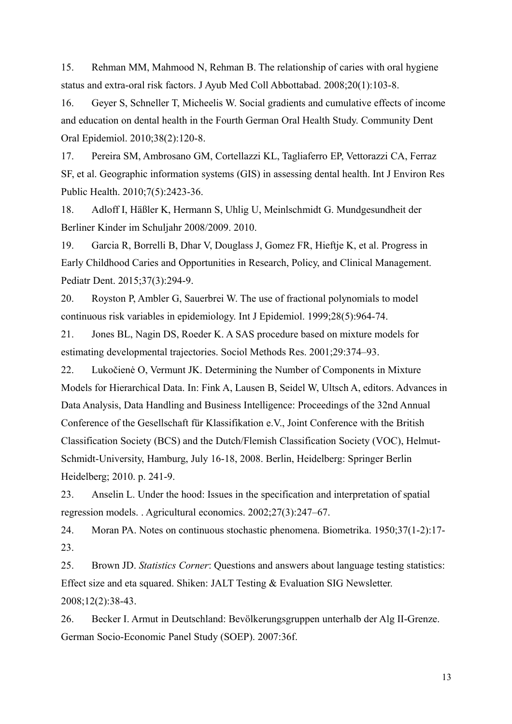15. Rehman MM, Mahmood N, Rehman B. The relationship of caries with oral hygiene status and extra-oral risk factors. J Ayub Med Coll Abbottabad. 2008;20(1):103-8.

16. Geyer S, Schneller T, Micheelis W. Social gradients and cumulative effects of income and education on dental health in the Fourth German Oral Health Study. Community Dent Oral Epidemiol. 2010;38(2):120-8.

17. Pereira SM, Ambrosano GM, Cortellazzi KL, Tagliaferro EP, Vettorazzi CA, Ferraz SF, et al. Geographic information systems (GIS) in assessing dental health. Int J Environ Res Public Health. 2010;7(5):2423-36.

18. Adloff I, Häßler K, Hermann S, Uhlig U, Meinlschmidt G. Mundgesundheit der Berliner Kinder im Schuljahr 2008/2009. 2010.

19. Garcia R, Borrelli B, Dhar V, Douglass J, Gomez FR, Hieftje K, et al. Progress in Early Childhood Caries and Opportunities in Research, Policy, and Clinical Management. Pediatr Dent. 2015;37(3):294-9.

20. Royston P, Ambler G, Sauerbrei W. The use of fractional polynomials to model continuous risk variables in epidemiology. Int J Epidemiol. 1999;28(5):964-74.

21. Jones BL, Nagin DS, Roeder K. A SAS procedure based on mixture models for estimating developmental trajectories. Sociol Methods Res. 2001;29:374–93.

22. Lukočienė O, Vermunt JK. Determining the Number of Components in Mixture Models for Hierarchical Data. In: Fink A, Lausen B, Seidel W, Ultsch A, editors. Advances in Data Analysis, Data Handling and Business Intelligence: Proceedings of the 32nd Annual Conference of the Gesellschaft für Klassifikation e.V., Joint Conference with the British Classification Society (BCS) and the Dutch/Flemish Classification Society (VOC), Helmut-Schmidt-University, Hamburg, July 16-18, 2008. Berlin, Heidelberg: Springer Berlin Heidelberg; 2010. p. 241-9.

23. Anselin L. Under the hood: Issues in the specification and interpretation of spatial regression models. . Agricultural economics. 2002;27(3):247–67.

24. Moran PA. Notes on continuous stochastic phenomena. Biometrika. 1950;37(1-2):17- 23.

25. Brown JD. *Statistics Corner*: Questions and answers about language testing statistics: Effect size and eta squared. Shiken: JALT Testing & Evaluation SIG Newsletter. 2008;12(2):38-43.

26. Becker I. Armut in Deutschland: Bevölkerungsgruppen unterhalb der Alg II-Grenze. German Socio-Economic Panel Study (SOEP). 2007:36f.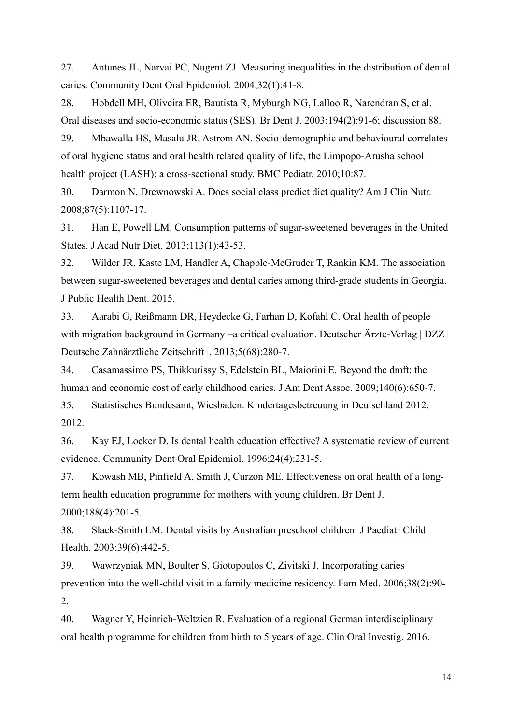27. Antunes JL, Narvai PC, Nugent ZJ. Measuring inequalities in the distribution of dental caries. Community Dent Oral Epidemiol. 2004;32(1):41-8.

28. Hobdell MH, Oliveira ER, Bautista R, Myburgh NG, Lalloo R, Narendran S, et al. Oral diseases and socio-economic status (SES). Br Dent J. 2003;194(2):91-6; discussion 88.

29. Mbawalla HS, Masalu JR, Astrom AN. Socio-demographic and behavioural correlates of oral hygiene status and oral health related quality of life, the Limpopo-Arusha school health project (LASH): a cross-sectional study. BMC Pediatr. 2010;10:87.

30. Darmon N, Drewnowski A. Does social class predict diet quality? Am J Clin Nutr. 2008;87(5):1107-17.

31. Han E, Powell LM. Consumption patterns of sugar-sweetened beverages in the United States. J Acad Nutr Diet. 2013;113(1):43-53.

32. Wilder JR, Kaste LM, Handler A, Chapple-McGruder T, Rankin KM. The association between sugar-sweetened beverages and dental caries among third-grade students in Georgia. J Public Health Dent. 2015.

33. Aarabi G, Reißmann DR, Heydecke G, Farhan D, Kofahl C. Oral health of people with migration background in Germany –a critical evaluation. Deutscher Ärzte-Verlag | DZZ | Deutsche Zahnärztliche Zeitschrift |. 2013;5(68):280-7.

34. Casamassimo PS, Thikkurissy S, Edelstein BL, Maiorini E. Beyond the dmft: the human and economic cost of early childhood caries. J Am Dent Assoc. 2009;140(6):650-7.

35. Statistisches Bundesamt, Wiesbaden. Kindertagesbetreuung in Deutschland 2012. 2012.

36. Kay EJ, Locker D. Is dental health education effective? A systematic review of current evidence. Community Dent Oral Epidemiol. 1996;24(4):231-5.

37. Kowash MB, Pinfield A, Smith J, Curzon ME. Effectiveness on oral health of a longterm health education programme for mothers with young children. Br Dent J. 2000;188(4):201-5.

38. Slack-Smith LM. Dental visits by Australian preschool children. J Paediatr Child Health. 2003;39(6):442-5.

39. Wawrzyniak MN, Boulter S, Giotopoulos C, Zivitski J. Incorporating caries prevention into the well-child visit in a family medicine residency. Fam Med. 2006;38(2):90- 2.

40. Wagner Y, Heinrich-Weltzien R. Evaluation of a regional German interdisciplinary oral health programme for children from birth to 5 years of age. Clin Oral Investig. 2016.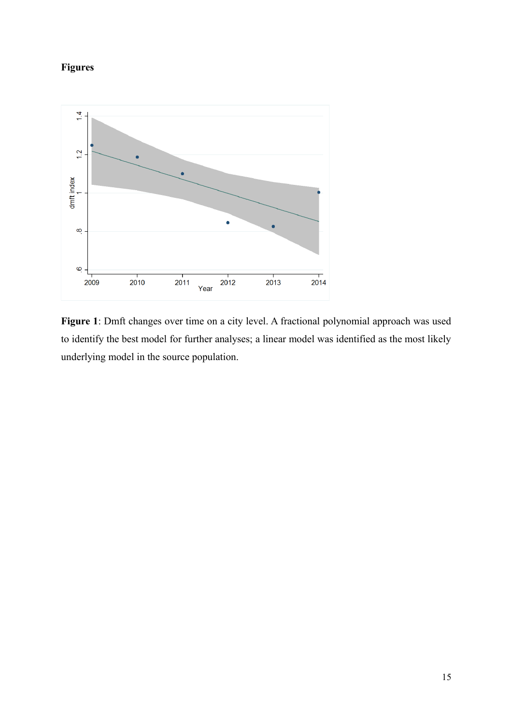# **Figures**



**Figure 1**: Dmft changes over time on a city level. A fractional polynomial approach was used to identify the best model for further analyses; a linear model was identified as the most likely underlying model in the source population.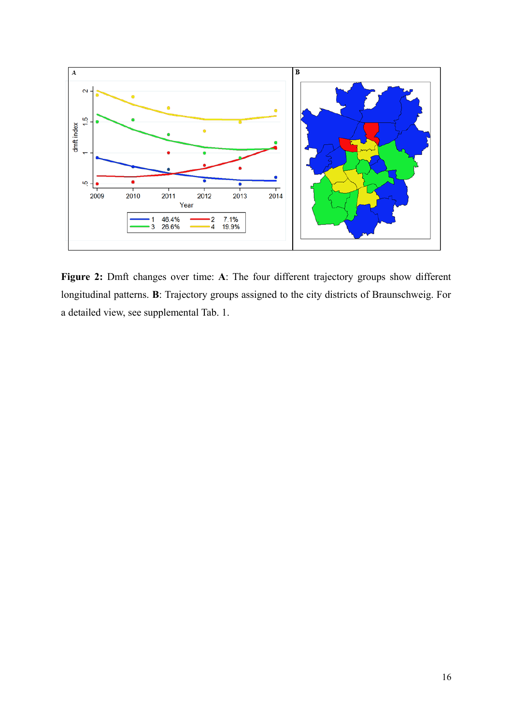

**Figure 2:** Dmft changes over time: **A**: The four different trajectory groups show different longitudinal patterns. **B**: Trajectory groups assigned to the city districts of Braunschweig. For a detailed view, see supplemental Tab. 1.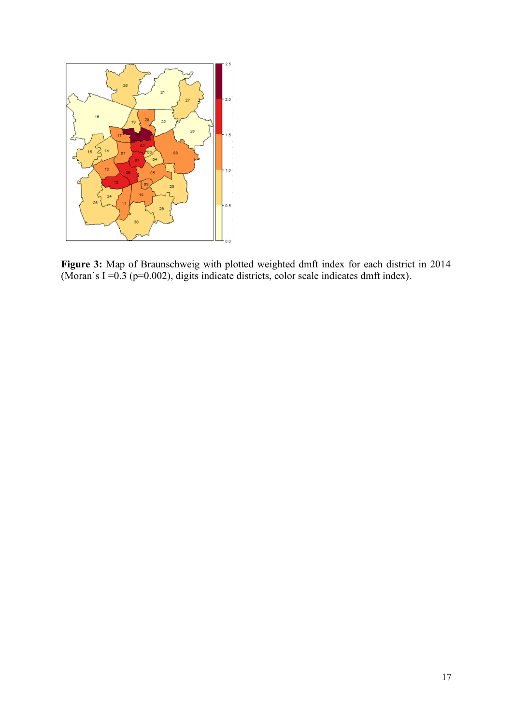

**Figure 3:** Map of Braunschweig with plotted weighted dmft index for each district in 2014 (Moran`s I = $0.3$  (p= $0.002$ ), digits indicate districts, color scale indicates dmft index).